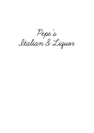**Pepe's Italian & Liquor**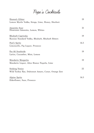# **Pepe's Cocktails**

| Heaven's Glitter                                                      | 19   |
|-----------------------------------------------------------------------|------|
| Lemon Myrtle Vodka, Strega, Lime, Honey, Sherbert                     |      |
| Amaretto Sour<br>Disaronno Amaretto, Lemon, Whites                    | 21   |
| Rhubarb Caprioska<br>Russian Standard Vodka, Rhubarb, Rhubarb Bitters | 19   |
| Poet's Spritz<br>Limoncello, Fig Liquor, Prosecco                     | 16.5 |
| Fee 66 Southside<br>Larios, Cucumber, Mint, Lemon                     | 19   |
| Mandarin Margarita<br>Mandarin Liquor, Altos Bianco Tequila, Lime     | 19   |
| Sinking Venice<br>Wild Turkey Rye, Dubonnet Amaro, Cynar, Orange Zest | 22   |
| Alpine Spritz<br>Elderflower, Suze, Prosecco                          | 16.5 |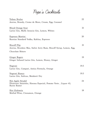# **Pepe's Cocktails**

| Tofane Brulee                                                                                                  | 22   |
|----------------------------------------------------------------------------------------------------------------|------|
| Averna, Brandy, Creme de Mure, Cream, Egg, Caramel                                                             |      |
| <b>Blood Orange Sour</b><br>Larios Gin, Malfy Arancia Gin, Lemon, Whites                                       | 21   |
| Espresso Martini<br>Russian Standard Vodka, Kahlua, Espresso                                                   | 20   |
| <b>Biscoff Flip</b><br>Averna, Brookies Mac, Sailor Jerry Rum, Biscoff Syrup, Lemon, Egg,<br>Chocolate Bitters | 21   |
| Ginger Rogers<br>Ginger Infused Larios Gin, Lemon, Honey, Ginger                                               | 19   |
| Negroni<br>Larios Gin, Campari, Antica Formula, Orange                                                         | 19.5 |
| Negroni Bianco<br>Larios Gin, Italicus, Maidenii Dry                                                           | 19.5 |
| Hot Apple Strudel<br>Disarrono Amaretto, Havana Especial, Pomme Verte, Liquor 43,<br><b>Burnt Butter</b>       | 24   |
| Hot Gluhwein<br>Mulled Wine, Cinnamon, Orange                                                                  | 18   |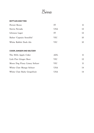**Birra**

### BOTTLES AND TINS

| Peroni Rosso              | IТ         | 11 |
|---------------------------|------------|----|
| Sierra Nevada             | <b>USA</b> | 12 |
| Ichnusa Lager             | IТ         | 12 |
| Balter 'Captain Sensible' | VIC.       | 10 |
| White Rabbit Dark Ale     | VIC        | 10 |

### CIDER, GINGER AND SELTZER

| The Hills Apple Cider        | ADL  |     |
|------------------------------|------|-----|
| Lick Pier Ginger Beer        | VIC- | 12  |
| Moon Dog Piney Limey Seltzer | VIC. | 11. |
| White Claw Mango Seltzer     | USA  | 14  |
| White Claw Ruby Grapefruit   | USA  | 14  |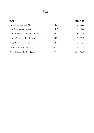**Birra**

| <b>TAPS</b>                        |            | <b>POT / PINT</b> |
|------------------------------------|------------|-------------------|
| Furphy Refreshing Ale              | <b>VIC</b> | 7/12.5            |
| Mt. Kosciuszko Pale Ale            | <b>NSW</b> | 8/13.5            |
| Little Creatures 'Roger' Amber Ale | <b>VIC</b> | 8/13.5            |
| Little Creatures Pacific Ale       | <b>VIC</b> | 8 / 13.5          |
| Brooklyn Bel Air Sour              | <b>USA</b> | 8 / 13.5          |
| Panhead Quickchange XPA            | NZ.        | 8/13.5            |
| Birra Moretti Italian Lager        | IT         | $(400mL)$ 12.5    |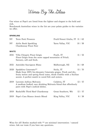**Wines By The Glass**

Our wines at Pepe's are listed from the lighter and elegant to the bold and rich.

Benchmark Australian wines in the list are your palate guides to the varieties we offer.

### SPARKLING

| NV           | Terre Forti Prosecco                                                                                                                                                                                                | Fruili-Venezi Giulia, IT 11 / 62 |         |
|--------------|---------------------------------------------------------------------------------------------------------------------------------------------------------------------------------------------------------------------|----------------------------------|---------|
| NV.          | Airlie Bank Sparkling<br>Chardonnay Pinot Noir                                                                                                                                                                      | Yarra Vallay, VIC                | 10/58   |
| <b>WHITE</b> |                                                                                                                                                                                                                     |                                  |         |
| 2021         | Villa Chiopris Pinot Grigio<br>Pinot Grigio from the snow capped mountains of Friuli.<br>Savoury, soft and fresh.                                                                                                   | Fruili, IT                       | 11 / 52 |
| 2021         | Astrolabe Sauvignon Blanc                                                                                                                                                                                           | Malborough, NZ                   | 14/68   |
| 2020         | Spadafora Catarratto**<br>Made from 100% bio-dynamic Catarratto grapes. Fresh and dry,<br>fruity melon and spring floral notes, think Chablis with a Sicilian<br>accent. A perfect match to cured fish and oysters. | Sicily, IT                       | 15/70   |
| 2019         | Lavorato Anfisya Malvasia<br>A medium bodied, easy drinking Malvasia blend that effortlessly<br>pairs with Pepe's seafood dishes.                                                                                   | Calabria, IT                     | 12 / 57 |
| 2019         | Rockcliffe Third Reef Chardonnay                                                                                                                                                                                    | Great Southern, WA               | 12 / 57 |
| 2019         | Pepe's Casa Bianco Arneis Blend                                                                                                                                                                                     | King Valley, VIC                 | 8/38    |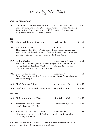**Wines By The Glass**

### ROSÉ + SKIN CONTACT

| 2021           | Otro Vino Sangiovese Tempranillo** Margaret River, WA<br>Sassy, savoury and strikingly serious. Sangiovese meets tempting<br>Tempranillo. Dry, cloudy pink, wild fermented, skin contact,<br>juicy berry fruit with delicate acidity. |                                 | 13/62    |
|----------------|---------------------------------------------------------------------------------------------------------------------------------------------------------------------------------------------------------------------------------------|---------------------------------|----------|
| <b>RED</b>     |                                                                                                                                                                                                                                       |                                 |          |
| 2021           | Clyde Park Locale Pinot Noir                                                                                                                                                                                                          | Geelong, VIC                    | 12/58    |
| 2020           | Vanita Nero d'Avola**<br>This cheeky little Nero d'Avola comes from organic grapes and is<br>aged in old oak barrels. A juicy, fresh and savoury red. A perfect<br>gateway to Italian wines if you normally drink Shiraz.             | Sicily, IT                      | 13/61    |
| 2019           | Bollini Merlot<br>Made from the best possible Merlot grapes, from the mountains<br>way up high in Trentino. Wild berry, fruits, gentle spice and<br>mellow palate. A perfect winter warmer.                                           | Trentino-Alto Adige, IT 15 / 74 |          |
| 2020           | Querceto Sangiovese<br>Fresh Sangiovese, with silky fine tannins, cherry fruits, chocolate<br>and white pepper                                                                                                                        | Tuscany, IT                     | 11 / 53  |
| 2018           | Lloyd Brothers Shiraz                                                                                                                                                                                                                 | McLaren Vale, SA                | 9.5 / 45 |
| 2019           | Pepe's Casa Rosso Merlot Sangiovese                                                                                                                                                                                                   | King Valley, VIC                | 8/38     |
| <b>DESSERT</b> |                                                                                                                                                                                                                                       |                                 |          |
| 2018           | Little Vespa Moscato (750mL)                                                                                                                                                                                                          | King Valley, VIC                | 9/45     |
| 2015           | Trentham Family Reserve<br>Nobile Taminga (375ml)                                                                                                                                                                                     | Murray Darling, VIC             | 11 / 43  |
| 2018           | Saracco Moscato d'Asti (375ml)<br>Moscato as it should be. Refreshing, crunchy and fresh with<br>just enough sweetness                                                                                                                | Piedmont, IT                    | 54       |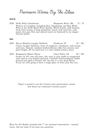**Premium Wines By The Glass**

#### **WHITE**

2020 Stella Bella Chardonnay Margarate River, WA 17 / 75 Winner of 3 trophies including Best Chardonnay and Best White Wine at the Perth Royal Wine Awards. Whole bunch, wild ferment, fresh fruit aromas of pink grapefruit, lemon rind and lime, with peach, fuzz gun flint and almond meal are balanced by an elegant mineral palate.

#### RED

- 2019 Bricco Maiolica Langhe Nebbiolo Piedmont, IT 22 / 105 Classic Langhe Nebbiolo, hints of raspberry, strawberry, red-currant and roses. Smooth, medium bodied delicate silky fine tannins and great length. All we need now is a slow cooked wintery sauce.
- 2019 Knappstein Majors Shiraz Clare Valley, SA 26 / 128 Grown on 50+ year old vines, this wine is only made in exceptional years and in very limited amounts. Carefully hand produced, basket pressed and aged in French oak. Yes this is a very good Shiraz. If you are only going to have a single glass of wine, pick this one.

Pepe's is proud to use the Coravin wine preservation system. Ask about our rotational Croravin pours!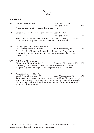

### **CHAMPAGNE**

| NV. | Laurent Perrier Brut                                                                                                                                                                                            | Tours-Sur-Marne,<br>Champagne, FR | 115 |
|-----|-----------------------------------------------------------------------------------------------------------------------------------------------------------------------------------------------------------------|-----------------------------------|-----|
|     | A classic aperitif style. Crisp, fresh and lean.                                                                                                                                                                |                                   |     |
| NV. | Serge Mathieu Blanc de Noirs Brut**                                                                                                                                                                             | Cote des Bar,<br>Champagne, FR    | 125 |
|     | Made from 100% biodynamic Pinot Noir fruit, showing packed red<br>fruit flavours, very low sulphur added and no filtration.                                                                                     |                                   |     |
| NV. | Champagne Collet Pinot Meunier<br>Chardonnay Pinot Noir Brut<br>A classic trio of blend varieties, this Champagne Pinot Meunier<br>dominant gives you a big mouth-feel and presence. Give a new<br>house a try. | AY, Champagne, FR                 | 150 |
| NV. | Pol Roger Chardonnay<br>Pinot Noir Pinot Meunier Brut<br>If it was good enought for Sir Winston Churchill's breakfast<br>it's probably good enough for us. Impressively rich and dry.                           | Epernay, Champagne, FR            | 170 |
| NV. | Jacquesson Cuvée No. 743<br>Pinot Noir Chardonnay **<br>Jacquesson are a small producer uniquely building Champagne as a                                                                                        | Dizy, Champagne, FR               | 190 |

vintage expression. 2015 was warm, sunny and dry and this powerful Champagne aged in oak with no filtering and fining is filled with

volume and personality.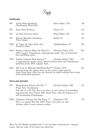

### SPARKLING

| NV   | Airlie Bank Sparkling<br>Chardonnay Pinot Noir                                                                                                                                                                                              | Yarra Vallay, VIC   | 58       |
|------|---------------------------------------------------------------------------------------------------------------------------------------------------------------------------------------------------------------------------------------------|---------------------|----------|
| NV   | Terre Forti Prosecco                                                                                                                                                                                                                        | Veneto, IT          | 62       |
| NV.  | La Zona Prosecco Glera                                                                                                                                                                                                                      | King Valley, VIC    | 62       |
| NV.  | Barone Montalto Sparkling<br>Pinot Grigio                                                                                                                                                                                                   | Siciliy IT          | 68       |
| 2019 | Le Vigne Di Alice Extra Dry<br>Prosecco Glera                                                                                                                                                                                               | Valdobbiadene, IT   | 80       |
| 2015 | Stefano Lubiana Blanc de Blancs**<br>100% organic Chardonnay, meticulously made. One of Australia's<br>best sparkling wines.                                                                                                                | Derwent Valley, TAS | 145      |
| 2015 | Stefano Lubiana Brut Reserve**<br>A meticulously made, classic blend of Pinot Noir and Chardonnay<br>sparkling from 100% organic fruit.                                                                                                     | Derwent Valley, TAS | 145      |
| 2011 | Elk Cove La Boheme Sparkling Rosé** Oregon, USA<br>Sourced from the oldest vines on the estate, made entirely<br>from Pinot Noir. Elk Cove are focused on hand crafting their wines<br>with sustainable practices.                          |                     | 155      |
|      | <b>PETILLANT NATUREL</b>                                                                                                                                                                                                                    |                     |          |
| NV.  | Meadowbank Harvest Pet Nat <sup>**</sup><br>Pinot Noir Chardonnay<br>Just shy of a Pet Nat, but so so close. A rare release of something<br>experimental from Tassie, 90% Pinot Noir, with the balance of a<br>still fermenting Chardonnay. | Derwent Valley, TAS | 90       |
|      | $0.01C$ $C1$ $1$ $D1'$ ; $D1$ $M1'$ , $D'$ $**$ $T1'$ $T1'$                                                                                                                                                                                 |                     | $\Omega$ |

2016 Chalmers Felicitas Pet Nat Fiano \*\* Heathcote, VIC 99 This is a special Pet Nat. 100% Fiano, two years on lees, finishes with a lovely natural acidity.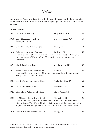# **White**

Our wines at Pepe's are listed from the light and elegant to the bold and rich. Benchmark Australian wines in the list are your palate guides to the varieties we offer.

### LIGHT & ELEGANT

| 2021 | Chrismont Riesling                                                                                                                                                                                                                                   | King Valley, VIC   | 49  |
|------|------------------------------------------------------------------------------------------------------------------------------------------------------------------------------------------------------------------------------------------------------|--------------------|-----|
| 2018 | Cape Margaret Semillon<br>Sauvignon Blanc                                                                                                                                                                                                            | Margaret River, WA | 49  |
| 2021 | Villa Chiopris Pinot Grigio                                                                                                                                                                                                                          | Fruili, IT         | 54  |
| 2019 | Pala Vermentino di Sardegna<br>If only we were all on holiday in the sun on the coast of Sardegna,<br>then we would all be drinking Vermentino and eating seafood.<br>Paradise.                                                                      | Sardinia, IT       | 56  |
| 2021 | Mahi Sauvignon Blanc                                                                                                                                                                                                                                 | Marlborough, NZ    | 58  |
| 2017 | Barone Montalto Cataratto **<br>Organically grown grapes 400 metres above sea level in the west of<br>Sicily. Fresh, citric and racy.                                                                                                                | Sicily, IT         | 59  |
| 2021 | Geoff Weaver Sauvignon Blanc                                                                                                                                                                                                                         | Adelaide Hills, SA | 59  |
| 2021 | Chalmers Vermentino**                                                                                                                                                                                                                                | Heathcote, VIC     | 68  |
| 2021 | Clos Clare Watervale Riesling                                                                                                                                                                                                                        | Clare Valley, SA   | 75  |
| 2020 | St. Michael-Eppan Pinot Grigio<br>It's all about sharpness and focus here, from this wine from such<br>high altitude. This Pinot Grigio is brimming with lemons and yellow<br>apples and just enough acidity to carry its fullish body ever so well. | Alto Adige, IT     | 96  |
| 2016 | Crawford River Reserve Riesling                                                                                                                                                                                                                      | Henty, VIC         | 125 |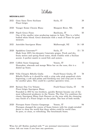**White**

### MEDIUM & JUICY

| 2021 | Gran Sasso Terre Siciliane<br>Pinot Grigio                                                                                                                                                                                                                                                                                                            | Sicily, IT               | 39      |
|------|-------------------------------------------------------------------------------------------------------------------------------------------------------------------------------------------------------------------------------------------------------------------------------------------------------------------------------------------------------|--------------------------|---------|
| 2020 | Voyager Estate Chenin Blanc                                                                                                                                                                                                                                                                                                                           | Margaret River, WA       | 48      |
| 2020 | Pipoli Greco Fiano<br>One of the smaller wine producing regions in Italy. This is a fuller<br>bodied white blend. Greco dominant with a wack of Fiano for good<br>measure.                                                                                                                                                                            | Basilicata, IT           | 50      |
| 2021 | Astrolabe Sauvignon Blanc                                                                                                                                                                                                                                                                                                                             | Malborough, NZ           | 14/68   |
| 2020 | Spadafora Catarratto**<br>Made from 100% bio-dynamic Catarratto grapes. Fresh and dry,<br>fruity melon and spring floral notes, think Chablis with a Sicilian<br>accent. A perfect match to cured fish and oysters.                                                                                                                                   | Sicily, IT               | 15 / 70 |
| 2019 | Coffele Soave Garganega<br>Honeydew, almonds and mango Weiss bar on the nose, this is a<br>dialed up Soave.                                                                                                                                                                                                                                           | Veneto, IT               | 77      |
| 2020 | Villa Chiopris Ribolla Gialla<br>Ribolla Fialla as it should be with a crisp ruby pink grapefruit citric<br>beginning, a soft mid palate and finishing racy and crisp just in time<br>for another glass. This could be a perfect aperativo wine.                                                                                                      | Fruili-Venezi Giulia, IT | 78      |
| 2019 | Bertani Due Uve Velante<br>Pinot Grigio Sauvignon Blanc<br>Founded in 1857 by two brothers, quickly Bertani became one of the<br>most influencial producers in the Veneto. The Due Uve combines the<br>classic Sauvignon Blanc fruit flavours on the nose with the cleansing<br>racy finish of a Pinot Grigio on the palate. The best of both worlds. | Fruili-Venezi Giulia, IT | 94      |
| 2020 | Pieropan Soave Classico Garganega<br>Pieropan changed the course of Soave history with his single-minded<br>desire to show the world that these whites could be world class.<br>So pure, so clean, so refreshing. The benchmark Soave.                                                                                                                | Veneto, IT               | 94      |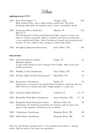**White**

# MEDIUM & JUICY (CONT.)

| 2014 | Eyrie Pinot Blanc **<br>Rich tropical fruit, with a light creamy mouth feel. The wine                                                                                                                                                                                               | Oregon, USA        | 105     |
|------|-------------------------------------------------------------------------------------------------------------------------------------------------------------------------------------------------------------------------------------------------------------------------------------|--------------------|---------|
|      | finishing with hints of nuttiness with a clean, naturalistic finish.                                                                                                                                                                                                                |                    |         |
| 2014 | Tavignano Misco Verdicchio<br>Riserva <sup>**</sup>                                                                                                                                                                                                                                 | Marche, IT         | 125     |
|      | This Verdicchio is both streamlined and tight, however it does not<br>lack for volume and girth. Aged in stainless and then in bottle this<br>is one sophisticated wine. Juicey freshness of peach and nectarine and<br>touches of mint, saffron and a gorgeous saline long finish. |                    |         |
| 2016 | Yeringberg Marsanne Roussanne                                                                                                                                                                                                                                                       | Yarra Valley, VIC  | 130     |
|      | <b>BOLD &amp; RICH</b>                                                                                                                                                                                                                                                              |                    |         |
| 2018 | Luccarelli Bianco Verdeca<br>Bombino Bianco                                                                                                                                                                                                                                         | Puglia, IT         | 42      |
|      | A lush saline blend of local varietals from Puglia. Both fruity and<br>solidly persistent.                                                                                                                                                                                          |                    |         |
| 2021 | Hoddles Creek Chardonnay                                                                                                                                                                                                                                                            | Yarra Valley, VIC  | 54      |
| 2018 | Delatite High Ground Chardonnay**                                                                                                                                                                                                                                                   | Mansfield, VIC     | 55      |
| 2018 | Tormaresco Chardonnay                                                                                                                                                                                                                                                               | Puglia, IT         | 55      |
|      | Tormaresco is owned by the famed Tuscan producer Antinori who are<br>100% driven by quality and their Puglia project is a class act.                                                                                                                                                |                    |         |
| 2019 | Lavorato Anfisya Malvasia                                                                                                                                                                                                                                                           | Calabria, IT       | 12/57   |
| 2019 | Rockcliffe Third Reef Chardonnay                                                                                                                                                                                                                                                    | Great Southern, WA | 12 / 57 |
| 2016 | Kangarilla Road Vermentino Fiano<br>Vermentino for freshness and Fiano for texture. Left on skins and<br>aged in clay amphora. Deliciously fun to drink.                                                                                                                            | McLaren Vale, SA   | 58.     |
| 2021 | Clandestine Chardonnay                                                                                                                                                                                                                                                              | Margaret River, WA | 62      |
| 2020 | Stella Bella Chardonnay                                                                                                                                                                                                                                                             | Margaret River, WA | 75      |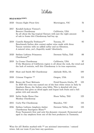# **White**

### BOLD & RICH (CONT.)

| 2020 | Oceans Eight Pinot Gris                                                                                                                                                                                                                                                | Mornington, VIC           | 76  |
|------|------------------------------------------------------------------------------------------------------------------------------------------------------------------------------------------------------------------------------------------------------------------------|---------------------------|-----|
| 2017 | Kendall-Jackson Vintner's<br>Reserve Chardonnay<br>Its all about the big tropical flavours with just the right amount<br>of oak to frame this Chardonnay bad boy up.                                                                                                   | California, USA           | 79  |
| 2019 | Castello Rampolla Trebianco**<br>Benchmark Italian skin contact amber wine made with three<br>Tuscan varieties with no added sulfur and no filtration.<br>A natural wine, yes!Superbly made? Absolutely.                                                               | Tuscany, IT               | 85  |
| 2020 | Stefano Lubiana Primavera<br>Chardonnay**                                                                                                                                                                                                                              | Derwent Valley, TAS       | 88  |
| 2019 | La Crema Chardonnay<br>If the Monterey of California region is all about the rock, the wind and<br>the lack of restrain, well this Chardonnay is its true expression.                                                                                                  | California, USA           | 97  |
| 2020 | Shaw and Smith M3 Chardonnay                                                                                                                                                                                                                                           | Adelaide Hills, SA        | 100 |
| 2018 | Cristom Viognier **                                                                                                                                                                                                                                                    | Oregon, USA               | 115 |
| 2018 | Ronco dei Tassi Malvasia<br>In 2020 this wine was named one of the best white wines in Italy by<br>Gambero Rosso, the Italian wine bible. This is detailed old vine<br>Malvasia that gives us dried apple and loquat lush fruits and a full<br>palate rich and smooth. | Friuli-Venezia Giulia, IT | 125 |
| 2019 | Sailor Seeks Horse One<br>Monkey Chardonnay                                                                                                                                                                                                                            | Huon Valley, TAS          | 125 |
| 2015 | Curly Flat Chardonnay                                                                                                                                                                                                                                                  | Macedon, VIC              | 135 |
| 2016 | Stefano Lubiano Amphora Amber<br>Chardonnay Sauvignon Blanc**<br>From Tasmania's first and only bio-dynamic vineyard. Fermented and<br>aged in clay amphora from one of the best producers in Tasmania.                                                                | Derwent Valley, TAS       | 135 |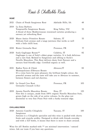**Rosé & Chillable Reds**

# ROSÉ

| 2021 | Chain of Ponds Sangiovese Rosé                                                                                                                                                                                                                                                                       | Adelaide Hills, SA | 48  |
|------|------------------------------------------------------------------------------------------------------------------------------------------------------------------------------------------------------------------------------------------------------------------------------------------------------|--------------------|-----|
| 2019 | La Zona Barbera<br>Tempranillo Sangiovese Rosato<br>A blend of three Mediterranean renowned varieties producing a<br>savoury yet refreshing Rosé                                                                                                                                                     | King Valley, VIC   | 55  |
| 2020 | Masso Antico Primitivo Rosato<br>Delicate fruit aromas and a tangy juiciness that works so well<br>with a little chilli heat.                                                                                                                                                                        | Salento, IT        | 55  |
| 2018 | Riotor Grenache Rosé                                                                                                                                                                                                                                                                                 | Provence, FR       | 77  |
| 2020 | Scala Gaglioppo Rosato**<br>Gaglioppo is one of Italy's oldest grape varieties. It is both delicious<br>and a rare find. Related to Sangiovese and sibling to Sicily's<br>Nerello Mascalese. This Rosé delivers dusty fruit flavours and a<br>savoury food friendly edge. Certified organic as well. | Calabria, IT       | 82  |
| 2021 | Radica Terre di Chieti<br>Montepulciano d'Abruzzo Rosato<br>It's a wine born for pure pleasure: the brilliant bright colour, the<br>powerful aromas and the taste will take you to Abruzzo in summer,<br>between flowers and red cherries.                                                           | Abruzzo, IT        | 82  |
| 2019 | Le Grand Cros Rosé<br>Grenache Cinsault (1.5Lt)                                                                                                                                                                                                                                                      | Provence, FR       | 105 |
| 2019 | Ayunta Narello Mascalese Rosato<br>Now this is uniquemade from 100% organic Narello Mascalese fruit,<br>grown high on the side of an active volcano. In the glass not<br>dissimilar to very fine Pinot Noir with a funky textural edge.                                                              | Etna, IT           | 125 |
|      | <b>CHILLABLE REDS</b>                                                                                                                                                                                                                                                                                |                    |     |
| 2020 | Antonio Camillo Ciliegliolo<br>Sangiovese<br>Antonio is a Ciliegliolo specialist and this wine is packed with cherry<br>fruits and crunchy acidity. Designed to drink with friends everyday<br>and with a 1LT bottle, it means that there is more to share around.                                   | Tuscany, IT        | 100 |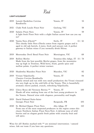**Red**

### LIGHT & ELEGANT

| 2019 | Lenotti Bardolino Corvina<br>Rondinella                                                                                                                                                                                                                           | Veneto, IT              | 53      |
|------|-------------------------------------------------------------------------------------------------------------------------------------------------------------------------------------------------------------------------------------------------------------------|-------------------------|---------|
| 2021 | Clyde Park Locale Pinot Noir                                                                                                                                                                                                                                      | Geelong, VIC            | 58      |
| 2020 | Salatin Pinot Nero<br>A light fresh Pinot Noir with a slight Italian accent how can you say<br>no?                                                                                                                                                                | Veneto, IT              | 59      |
| 2020 | Vanita Nero d'Avola**<br>This cheeky little Nero d'Avola comes from organic grapes and is<br>aged in old oak barrels. A juicy, fresh and savoury red. A perfect<br>gateway to Italian wines if you normally drink Shiraz.                                         | Sicily, IT              | 13/61   |
| 2019 | Moorooduc Devil Bend Pinot Noir                                                                                                                                                                                                                                   | Mornington, VIC         | 68      |
| 2019 | Bollini Merlot<br>Made from the best possible Merlot grapes, from the mountains<br>way up high in Trentino. Wild berry, fruits, gentle spice and<br>mellow palate. A perfect winter warmer.                                                                       | Trentino-Alto Adige, IT | 15 / 74 |
| 2020 | Shadowfax Macedon Pinot Noir                                                                                                                                                                                                                                      | Macedon, VIC            | 82      |
| 2019 | Viviani Valpolicella<br>Classico Corvina Rondinella<br>Family owned and run with very small production: the Vivani vineyard<br>sits very high up in the cold hills of the Veneto. This is beautifully<br>aromatic cherry packed, crunch, refreshing Valpolicella. | Veneto, IT              | 84      |
| 2013 | L'Arco Rosso del Veronese Rovina **<br>Hands off wine making from one of the best young producers in<br>the Veneto. Natural wine with elegance, personality and length.                                                                                           | Veneto, IT              | 100     |
| 2019 | David Duband Nuits-Saint-<br>Georges Pinot Noir                                                                                                                                                                                                                   | Burgundy, FR            | 105     |
| 2020 | St. Michael-Eppan Pinot Nero<br>From one of the most respected producers in the region comes this<br>classic Northern Italian Pinot Nero/Noir. A delicate nose of wild<br>berries and an elegant gentle fresh palate with crunchy fruit and<br>soft spice.        | Alto Adige, IT          | 110     |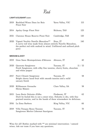**Red**

### LIGHT & ELEGANT (CONT)

| 2019 | Rochford Wines Dans les Bois<br>Pinot Noir                                                                                                                                          | Yarra Valley, VIC | 115     |
|------|-------------------------------------------------------------------------------------------------------------------------------------------------------------------------------------|-------------------|---------|
| 2014 | Apsley Gorge Pinot Noir                                                                                                                                                             | Bicheno, TAS      | 125     |
| 2021 | Clarence House Reserve Pinot Noir                                                                                                                                                   | Cambridge, TAS    | 130     |
| 2020 | Vigneti Vecchio Narello Mascalese**<br>A nervy red wine made from almost entirely Narello Mascalese,<br>the perfect red with seafood in mind. Unfiltered and unfined pitch<br>perct | Etna, IT          | 140     |
|      | <b>MEDIUM &amp; JUICY</b>                                                                                                                                                           |                   |         |
| 2019 | Gran Sasso Montepulciano d'Abruzzo                                                                                                                                                  | Abruzzo, IT       | 40      |
|      | 2020 Querceto Sangiovese<br>Fresh Sangiovese, with silky fine tannins, cherry fruits, chocolate<br>and white pepper                                                                 | Tuscany, IT       | 11 / 53 |
| 2017 | Parri Chianti Sangiovese<br>Bright cherry laced fruit with smooth tannins and a mild<br>savoury finish                                                                              | Tuscany, IT       | 58      |
| 2020 | Kilikanoon Grenache<br>Shiraz Mataro                                                                                                                                                | Clare Valley, SA  | 58      |
| 2015 | Luca Bosio Dolcetto d'Alba<br>Don't be fooled this is not a sweet wine. Dolcetto is dry, with fine<br>grained tannins, and in the hands of these winemakers its delicious.          | Piedmont, IT      | 62      |
| 2016 | La Zona Barbera                                                                                                                                                                     | King Valley, VIC  | 66      |
| 2019 | Villa Trasqua Rosso Toscana<br>Sangiovese Merlot Cabernet Sauvignon                                                                                                                 | Tuscany, IT       | 70      |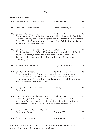**Red**

### **MEDIUM & JUICY (CONT)**

|      | 2015 Cantina Boffa Dolcetto d'Alba                                                                                                                                                                                                                                                                  | Piedmont, IT       | 75  |
|------|-----------------------------------------------------------------------------------------------------------------------------------------------------------------------------------------------------------------------------------------------------------------------------------------------------|--------------------|-----|
| 2020 | Frankland Estate Shiraz                                                                                                                                                                                                                                                                             | Great Southern, WA | 77  |
| 2020 | Sardus Pater Cannonau<br>Cannonau AKA Grenache is dry grown at high elevation in Sardinia.<br>A great balancing act of both elegance but still having a savoury moody<br>depth. The wine's mild tannins can take a hit of chilli from a dish and<br>make you come back for more.                    | Sardinia, IT       | 78  |
| 2020 | San Francesco Ciro Classico Gaglioppo Calabria, IT<br>Gaglioppo is one of Italy's oldest grape varieties, probably of Greek<br>origin. It is fresh, vibrant and a rare find. As its related to its<br>Tuscan cousin Sangiovese, his wine is calling out for some succulent<br>lamb or grilled beef. |                    | 82  |
| 2020 | Nocturne SR Cabernets                                                                                                                                                                                                                                                                               | Margaret River, WA | 88  |
| 2018 | SC Pannell Barbera<br>Steve Pannell is one of Austalia's most influencial and forward<br>thinking wine makers. This is Barbera as it should be. It has a deep<br>ruby colour, with fragrant floral and berry aromas. Brilliant acidity<br>and soft tannins. Well worth a try.                       | Adelaide Hills, SA | 98  |
| 2017 | La Spinetta Il Nero di Casanova<br>Sangiovese                                                                                                                                                                                                                                                       | Tuscany, IT        | 98  |
| 2019 | Bricco Maiolica Langhe Nebbiolo<br>Classic Langhe Nebbiolo, hints of raspberry, strawberry, red current<br>and roses. Smooth, medium bodied, delicate silky fine tannins and<br>great length. All we need now is a slow cooked wintery sauce.                                                       | Piedmont, IT       | 105 |
| 2016 | Fratelli D'Anna Rosso di Montalcino<br>Sangiovese Grosso                                                                                                                                                                                                                                            | Tuscany, IT        | 125 |
| 2019 | Scorpo Old Vine Shiraz                                                                                                                                                                                                                                                                              | Mornington, VIC    | 128 |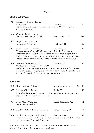**Red**

### **MEDIUM & JUICY (CONT)**

| 2020 | Poggerino Chianti Classico<br>Sangiovese**<br>Biodynamic and absolutely top class, Chianti Classico from an<br>amazing producer                                                                                                                                                                         | Tuscany, IT        | 140      |
|------|---------------------------------------------------------------------------------------------------------------------------------------------------------------------------------------------------------------------------------------------------------------------------------------------------------|--------------------|----------|
| 2013 | Wantirna Estate Amelia<br>Cabernet Sauvignon Merlot                                                                                                                                                                                                                                                     | Yarra Valley, VIC  | 175      |
| 2017 | Luigi Baudana Barolo<br>Serralunga Nebbiolo                                                                                                                                                                                                                                                             | Piedmont, IT       | 185      |
| 2015 | Rivetti Riserva Chiavannasco<br>Chiavannasco AKA Nebbiolo was planted by the Romans in<br>Lombardy often against the rock face where it would ripen fully.<br>Rivetti hand picks their grapes, partially dries some fruit and treats<br>these wines to French oak to increase their presence and power. | Lombardy, IT       | 185      |
| 2018 | Boscarelli Vino Nobile di<br>Montepluciano Prugnolo Gentile**<br>Made from Prugnolo Gentile which is a close cousin of Sangiovese.<br>Boscarelli produce a gorgeous wine dark berry fruited, complex and<br>elegant, framed by firm, well integrated tannins.                                           | Tuscany, IT        | 200      |
|      | <b>BOLD &amp; RICH</b>                                                                                                                                                                                                                                                                                  |                    |          |
| 2018 | Lloyd Brothers Shiraz                                                                                                                                                                                                                                                                                   | McLaren Vale, SA   | 9.5 / 45 |
| 2020 | Artigiano Nero d'Avola                                                                                                                                                                                                                                                                                  | Sicily, IT         | 50       |
|      | Nero d'Avola is a local to Sicily and is so on trend, as its just juicy<br>enough and still has a savoury edge.                                                                                                                                                                                         |                    |          |
| 2017 | Rocky Gully Cabernet<br>Franc Merlot Malbec**                                                                                                                                                                                                                                                           | Great Southern, WA | 54       |
| 2019 | Glaetzer Wallace Shiraz Grenache                                                                                                                                                                                                                                                                        | Barossa Valley, SA | 58       |
| 2018 | Pipoli Zero Sulphur Aglianico **<br>If you need a wine with zero sulphur we have you covered. Aglianco<br>has volume and big dark fruit power.                                                                                                                                                          | Basilicata, IT     | 62       |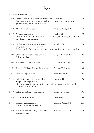# **Red**

# BOLD & RICH (CONT.)

| 2019 | Vanita Nero d'Avola Nerello Mascalese Sicily, IT<br>Cane cut vines force a rapid drying process to concentrate these<br>grapes. Rich, bold and muscular. |                    | 62  |
|------|----------------------------------------------------------------------------------------------------------------------------------------------------------|--------------------|-----|
| 2019 | After Five Wine Co. Shiraz                                                                                                                               | Barossa Valley, SA | 68  |
| 2019 | A-Mano Primitivo<br>Primitivo AKA Zinfandel is big, broad and glass filling and in this<br>case totally hand-made.                                       | Puglia, IT         | 70  |
| 2019 | Le Caniette Rosso Bello Piceno<br>Sangiovese Montepluciano**<br>A deep, lush, full bodied built red, made entirely from organic fruit.                   | Marche, IT         | 73  |
| 2020 | Clandestine Break Free Vin Nat<br>Shiraz Malbec                                                                                                          | Margaret River, WA | 74  |
| 2020 | Ministry of Clouds Shiraz                                                                                                                                | McLaren Vale, SA   | 77  |
| 2021 | Torbeck Hillside Shiraz Roussanne                                                                                                                        | Barossa Valley, SA | 80  |
| 2014 | Levrier Argos Shiraz                                                                                                                                     | Eden Valley, SA    | 98  |
| 2015 | Col Santo Rosso di Montefalco<br>Sangiovese Sagrantino<br>Rich and deep in colour, with powerful yet sweet tannins. Totally<br>Umbrian and unique.       | Umbria, IT         | 95  |
| 2019 | Balnaves Cabernet Sauvignon                                                                                                                              | Coonawarra, SA     | 105 |
| 2018 | Heathote Estate Shiraz                                                                                                                                   | Heathcote, VIC     | 105 |
| 2016 | Glaetzer Anaperenna<br>Shiraz Cabernet Sauvignon                                                                                                         | Barossa Valley, SA | 115 |
| 2019 | Torbreck The Steading Grenache<br>Shiraz Mataro                                                                                                          | Barossa Valley, SA | 115 |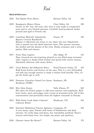**Red**

# BOLD & RICH (CONT.)

| 2016 | Tait Basket Press Shiraz                                                                                                                                                                                                                                                                                           | Barossa Valley, SA        | 120 |
|------|--------------------------------------------------------------------------------------------------------------------------------------------------------------------------------------------------------------------------------------------------------------------------------------------------------------------|---------------------------|-----|
| 2019 | Knappstein Majors Shiraz<br>Grown on 50+ year old vines, this wine is only made in exceptional<br>years and in very limited amounts. Carefully hand produced, basket<br>pressed and aged in French oak.                                                                                                            | Clare Valley, SA          | 128 |
| 2018 | Castellani Michelle Valpolicella<br>Ripasso Corvina Rondinella<br>Ripasso is effectively two wines in one where the new Valpolicella<br>wine is passed over the dried Amarone skins. This process increases<br>the alcohol and the density of the wine. Heady aromatics and a velvet<br>palette. Rish and intense. | Veneto, IT                | 130 |
| 2017 | Franz Haas Lagrein<br>Haas vineyard are awe-inspiring planted on sun filled steep mountain<br>sides. Lagrein is deeply black fruited and spiced with velvety tannins.<br>Absolutely delicious with meaty dishes.                                                                                                   | Alto Adige, IT            | 145 |
| 2017 | Livon Rofosco dal Peduncolo Rosso<br>Bold forest berries and licorice on the nose. This is a very full-bodied<br>red with just enough tannins to make it Italian food friendly. Plus, it's<br>got the bottle age as well.                                                                                          | Friuli-Venezia Giulia, IT | 145 |
| 2005 | Domaine Chevalier Grand Cru Graves Bordeaux, FR<br>Bordeaux (375Ml)                                                                                                                                                                                                                                                |                           | 155 |
| 2016 | Elio Ottin Fumin<br>Elio dries his Fumin grapes to add extra richness and complexity. Rich<br>berry fruits, spice and pepper and a touch of mountain herb. All of this<br>concentration and personality from the highest vineyards in Europe.                                                                      | Valle d'Aosta, IT         | 160 |
| 2013 | Wild Duck Creek Alan's Cabernet'<br>Cabernet Blend                                                                                                                                                                                                                                                                 | Heathcote, VIC            | 165 |
| 2012 | Salvatore Mollettieri Taurasi Aglianico Campania, IT<br>A very meaty, spicy Taurasi with fruits of blackberries and dark<br>cherries. It's really deep and dense, but remarkably polished. There's<br>tension and beauty here, not simply raw power and opulense.                                                  |                           | 165 |
| 2016 | Glaetzer Amon Ra Shiraz**                                                                                                                                                                                                                                                                                          | Barossa Valley, SA        | 175 |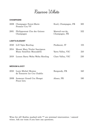# **Reserve White**

### **CHAMPAGNE**

|      | 2008 Champagne Forest-Marie<br>Premier Cru VV                     | Ecuil, Champagne, FR             | 300              |
|------|-------------------------------------------------------------------|----------------------------------|------------------|
| 2001 | Philipponnat Clos des Goisses<br>Champagne                        | Mareuil-sur-Ay,<br>Champagne, FR | 522              |
|      | <b>LIGHT &amp; ELEGANT</b>                                        |                                  |                  |
| 2020 | G.D Vajra Riesling                                                | Piedmont, IT                     | 155              |
| 2014 | Mount Mary Triolet Sauvignon<br>Blanc Semillon Muscadelle         | Yarra Valley, VIC                | 210              |
| 2019 | Loosen Barry Wolta Wolta Riesling                                 | Clare Valley, VIC                | 230              |
|      |                                                                   |                                  |                  |
|      | <b>MEDIUM &amp; JUICY</b>                                         |                                  |                  |
|      | $0.010 \quad I \quad I \quad M^* \quad I \quad I \quad M \quad I$ | תחת ות                           | 100 <sub>0</sub> |

| 2018 Louis Michel Montee<br>de Tonnerre 1er Cru Chablis | Burgundy, FR | 160 |
|---------------------------------------------------------|--------------|-----|
| 2008 Josmeyer Grand Cru Hengst<br>Pinot Gris            | Alsace. FR   | 180 |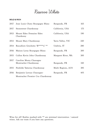# **Reserve White**

### BOLD & RICH

| 2017 | Jean Louis Chavy Bourgogne Blanc     | Burgundy, FR       | 165 |
|------|--------------------------------------|--------------------|-----|
| 2017 | Stonestreet Chardonnay               | California, USA    | 175 |
| 2013 | Mount Eden Domaine Eden<br>Chardonny | California, USA    | 190 |
| 2013 | Mount Mary Chardonnay                | Yarra Valley, VIC  | 220 |
| 2014 | Roccafiore Grechetto 'R*****a' **    | Umbria, IT         | 280 |
| 2016 | Maison Leroy Bourgogne Blanc         | Burgundy, FR       | 300 |
| 2015 | Cullen Kevin John Chardonnay         | Margaret River, WA | 300 |
| 2017 | Caroline Morey Chassagne             |                    |     |
|      | Montrachet Chardonnay                | Burgundy, FR       | 330 |
| 2015 | Penfolds Yatterna Chardonnay         | Multi Regions, AUS | 385 |
| 2016 | Benjamin Leroux Chassagne-           | Burgundy, FR       | 405 |
|      | Montrachet Premier Cru Chardonnay    |                    |     |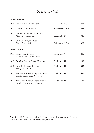**Reserve Red**

### LIGHT & ELEGANT

| 2018 | Bindi Dixon Pinot Noir                                       | Macedon, VIC    | 205 |
|------|--------------------------------------------------------------|-----------------|-----|
| 2017 | Giaconda Pinot Noir                                          | Beechworth, VIC | 255 |
| 2017 | Laurent Roumier Chambolle<br>Musigny Pinot Noir              | Burgundy, FR    | 345 |
| 2014 | Williams Selyem Russian<br>River Pinot Noir                  | California, USA | 385 |
|      | <b>MEDIUM &amp; JUICY</b>                                    |                 |     |
| 2014 | Biondi Santi Rosso<br>di Montalcino Sangiovese               | Tuscany, IT     | 285 |
| 2017 | Revello Barolo Conca Nebbiolo                                | Piedmont, IT    | 295 |
| 2012 | Bera Barbaresco Riserva<br>Rabaja Nebbiolo                   | Piedmont, IT    | 330 |
| 2012 | Massolino Riserva Vigna Rionda<br>Barolo Serralunga Nebbiolo | Piedmont, IT    | 585 |
| 2015 | Massolino Riserva Vigna Rionda<br>Barolo Serralunga Nebbiolo | Piedmont, IT    | 585 |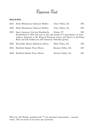**Reserve Red**

### BOLD & RICH

| 2013 | Birks Wendouree Cabernet Malbec                                                                                                                                                                                                                     | Clare Valley, SA   | 295 |
|------|-----------------------------------------------------------------------------------------------------------------------------------------------------------------------------------------------------------------------------------------------------|--------------------|-----|
| 2010 | Birks Wendouree Cabernet Malbec                                                                                                                                                                                                                     | Clare Valley, SA   | 295 |
| 2015 | Speri Amarone Corvina Rondinella<br>Established in 1874 and now in the safe hands of 5 generations of wine<br>makers. Amarone is the King of Veronese wines, and Speri's is thrilling.<br>Rich and full bodied yet still balanced. Powerful genius. | Veneto, IT         | 300 |
| 2016 | Henschke Mount Edelstone Shiraz                                                                                                                                                                                                                     | Eden Valley, SA    | 395 |
| 2015 | Rockford Basket Press Shiraz                                                                                                                                                                                                                        | Barossa Valley, SA | 425 |
| 2006 | Rockford Basket Press Shiraz                                                                                                                                                                                                                        | Barossa Valley, SA | 425 |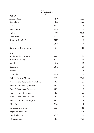**Liquor**

| <b>VODKA</b>                      | υ          |      |
|-----------------------------------|------------|------|
| Archie Rose                       | <b>NSW</b> | 11.5 |
| Belvedere                         | <b>PRA</b> | 11.5 |
| Ciroc                             | <b>FRA</b> | 12   |
| Grey Goose                        | <b>FRA</b> | 12.5 |
| Haku                              | <b>JPN</b> | 10.5 |
| Ketel One                         | <b>HLL</b> | 11   |
| Russian Standard                  | <b>RUS</b> | 10   |
| Tito's                            | <b>USA</b> | 12   |
| Zubrowka Bison Grass              | POL        | 11   |
| <b>GIN</b>                        |            |      |
| Applewood Coral Gin               | ADL        | 15   |
| Archie Rose Dry                   | <b>NSW</b> | 13   |
| Aviation                          | <b>USA</b> | 13   |
| Beefeater                         | <b>LND</b> | 10   |
| <b>Botanist</b>                   | <b>UK</b>  | 14   |
| Citadelle                         | <b>FRA</b> | 12   |
| Del Professore Madame             | <b>ITA</b> | 15.5 |
| Four Pillars Australian Christmas | <b>VIC</b> | 17.5 |
| Four Pillars Bloody Shiraz        | VIC        | 13.5 |
| Four Pillars Navy Strength        | <b>VIC</b> | 16   |
| Four Pillars Olive Leaf           | <b>VIC</b> | 14.5 |
| Four Pillars Original Dry         | <b>VIC</b> | 12   |
| Four Pillars Spiced Negroni       | <b>VIC</b> | 14   |
| Gin Mare                          | <b>SPA</b> | 14   |
| Haymans Old Tom                   | UK         | 11   |
| Haymans Sloe Gin                  | UK         | 10.5 |
| Hendricks Gin                     | <b>SCT</b> | 13.5 |
| Hippocampus                       | <b>VIC</b> | 11.5 |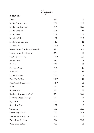**Liquor**

# GIN (CONT.)

| Larios                        | <b>SPA</b> | 10   |
|-------------------------------|------------|------|
| Malfy Con Arancia             | <b>ITA</b> | 11.5 |
| Malfy Con Limone              | <b>ITA</b> | 10.5 |
| Malfy Original                | <b>ITA</b> | 11   |
| Malfy Rosa                    | <b>ITA</b> | 11.5 |
| Martin Millers                | UK         | 11.5 |
| Melbourne Gin Co.             | VIC        | 11   |
| Monkey 47                     | GER        | 14   |
| Never Never Southern Strength | <b>SA</b>  | 14.5 |
| Never Never Dard Series       | <b>SA</b>  | 15   |
| No.3 London Dry               | HOL        | 13.5 |
| Patient Wolf                  | <b>VIC</b> | 12   |
| Pigskin                       | <b>ITA</b> | 15   |
| Pigskin Pink                  | <b>ITA</b> | 17   |
| Plymouth                      | UK         | 11   |
| Plymouth Sloe                 | UK         | 12   |
| Poor Tom's Dry                | <b>NSW</b> | 11   |
| Poor Tom's Strawberry         | <b>NSW</b> | 12   |
| Roku                          | JPN        | 11   |
| Scapegrace                    | ${\rm NZ}$ | 13   |
| Settler's 'Juniper 3 Ways'    | <b>SA</b>  | 12.5 |
| Settler's Blood Orange        | <b>SA</b>  | 12   |
| Sipsmith                      | UK         | 12   |
| Sipsmith Sloe                 | UK         | 18   |
| Tanqueray                     | UK         | 10.5 |
| Tanqueray No.10               | UK         | 14.5 |
| Westwinds Broadside           | <b>WA</b>  | 16   |
| Westwinds Cutlass             | WA         | 13.5 |
| Westwinds Sabre               | WA         | 12   |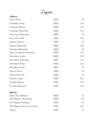**Liquor**

| <b>TEQUILA</b>              |            |      |
|-----------------------------|------------|------|
| Avion Silver                | <b>MEX</b> | 14   |
| Casamigo Anejo              | <b>MEX</b> | 17.5 |
| Casamigo Blanco             | <b>MEX</b> | 13.5 |
| Casamigo Reposado           | <b>MEX</b> | 15.5 |
| Clase Azul Reposado         | <b>MEX</b> | 35   |
| Don Julio 1942              | <b>MEX</b> | 27.5 |
| Espolon Bianco              | <b>MEX</b> | 10   |
| Espolon Reposado            | <b>MEX</b> | 10.5 |
| Fortaleza Reposado          | <b>MEX</b> | 19   |
| Gran Centanario Rosangel    | <b>MEX</b> | 12.5 |
| Herradura Anejo             | <b>MEX</b> | 15.5 |
| Herradura Reposado          | <b>MEX</b> | 12.5 |
| Herradura Plata             | <b>MEX</b> | 11.5 |
| Herradura Ultra             | <b>MEX</b> | 23   |
| Patron Silver               | <b>MEX</b> | 13   |
| Patron XO Cafe              | <b>MEX</b> | 12   |
| Tromba Anejo                | <b>MEX</b> | 16.5 |
| Tromba Blanco               | <b>MEX</b> | 11.5 |
| Tromba Reposado             | <b>MEX</b> | 13.5 |
| <b>MEZCAL</b>               |            |      |
| Alipas San Baltazar         | <b>MEX</b> | 13   |
| Del Maguey Chichicapa       | <b>MEX</b> | 22   |
| Del Maguey Pechuga          | <b>MEX</b> | 45   |
| Del Maguey San Luis Del Rio | <b>MEX</b> | 12.5 |
| Illegal                     | <b>MEX</b> | 15   |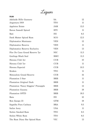**Liquor**

RUM

| Adelaide Hills Gunnery                | <b>SA</b>  | 12   |
|---------------------------------------|------------|------|
| Angostura 1919                        | <b>TTO</b> | 11   |
| Appleton Estate                       | JAM        | 13.5 |
| Baron Samedi Spiced                   | <b>HTI</b> | 11   |
| Bati                                  | FJI        | 8.5  |
| Dark Matter Spiced Rum                | <b>SCO</b> | 12.5 |
| Diplomatico Mantuano                  | <b>VEN</b> | 12   |
| Diplomatico Reserva                   | <b>VEN</b> | 11   |
| Diplomatico Reserva Exclusiva         | VEN        | 13   |
| Flor De Cana Grand Reserve 7yr        | <b>NIC</b> | 11.5 |
| Goslings Black Seal                   | BMU        | 11.5 |
| Havana Club 3yr                       | <b>CUB</b> | 10   |
| Havana Club 7yr                       | <b>CUB</b> | 11   |
| Havana Especial                       | <b>CUB</b> | 10.5 |
| Kraken                                | <b>TTO</b> | 11   |
| Matusalem Grand Reserve               | <b>CUB</b> | 16   |
| Plantation 3 Star                     | <b>BRB</b> | 11   |
| Plantation Original Dark              | <b>BRB</b> | 11   |
| Plantation 'Fancy Stiggins' Pineapple | <b>BRB</b> | 13   |
| Plantation Guyana                     | <b>BRB</b> | 18   |
| Plantation OFTD                       | <b>BRB</b> | 18.5 |
| Ratu                                  | <b>FJI</b> | 10   |
| Ron Zacapa 23                         | <b>GTM</b> | 18   |
| Sagatiba Pura Cachaca                 | <b>BRA</b> | 9.5  |
| Sailor Jerry                          | <b>USA</b> | 11   |
| Stolen Smoked Rum                     | <b>TTO</b> | 8.5  |
| Stolen White Rum                      | TTO        | 8.5  |
| The Rum Diary Bar Spiced Rum          | VIC        | 13   |
|                                       |            |      |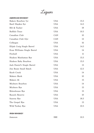**Liquor**

#### AMERICAN WHISKEY

| Bakers Bourbon 7yr          | <b>USA</b> | 15.5 |
|-----------------------------|------------|------|
| Basil Hayden 8yr            | <b>USA</b> | 14.5 |
| Bib & Tucker                | <b>USA</b> | 18   |
| <b>Buffalo Trace</b>        | <b>USA</b> | 10.5 |
| Canadian Club               | CAN        | 10   |
| Canadian Club 12yr          | CAN        | 12   |
| Colkegan                    | <b>USA</b> | 16   |
| Elijah Craig Single Barrel  | <b>USA</b> | 14.5 |
| Evan Williams Single Barrel | <b>USA</b> | 14   |
| Fireball                    | <b>USA</b> | 11   |
| Hudson Manhattan Rye        | <b>USA</b> | 15.5 |
| Hudson Baby Bourbon         | <b>USA</b> | 15.5 |
| Jack Daniel's Single Barrel | <b>USA</b> | 13   |
| Jim Beam Small Batch        | <b>USA</b> | 12.5 |
| Knob Creek                  | <b>USA</b> | 14   |
| Makers Mark                 | <b>USA</b> | 10   |
| Makers 46                   | <b>USA</b> | 15   |
| Michters Bourbon            | <b>USA</b> | 14   |
| Michters Rye                | <b>USA</b> | 15   |
| Rittenhouse Rye             | <b>USA</b> | 15   |
| Russels Reserve             | <b>USA</b> | 10   |
| Sazerac Rye                 | <b>USA</b> | 18.5 |
| The Gospel Rye              | <b>USA</b> | 13   |
| Wild Turkey Rye             | <b>USA</b> | 10.5 |
| IRISH WHISKEY               |            |      |

| Jameson | <b>IRE</b> | 10.5 |
|---------|------------|------|
|         |            |      |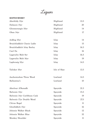**Liquor**

# SCOTCH WHISKY

| Aberfeldy 12yr               | Highland     | 13.5 |
|------------------------------|--------------|------|
| Dalmore 15yr                 | Highland     | 20   |
| Glenmorangie 10yr            | Highland     | 14   |
| Oban 14yr                    | Highland     | 17   |
| Ardbeg 10yr                  | Islay        | 14   |
| Bruichladdich Classis Ladie  | Islay        | 15   |
| Bruichladdich Islay Barley   | Islay        | 16.5 |
| Caol Ila                     | Islay        | 16   |
| Lagavulin Malt 8yr           | Islay        | 16.5 |
| Lagavulin Malt 16yr          | Islay        | 19   |
| Laphroaig 10yr               | Islay        | 14.5 |
| Talisker 10yr                | Isle of Skye | 13.5 |
| Auchentoshan Three Wood      | Lowland      | 14.5 |
| Ballantine's                 | Lowland      | 10   |
| Aberlour A'Bunadh            | Speyside     | 21.5 |
| Balvenie 12yr                | Speyside     | 15.5 |
| Balvenie 14yr Caribbean Cask | Speyside     | 19   |
| Balvenie 17yr Double Wood    | Speyside     | 27.5 |
| Chivas Regal                 | Speyside     | 11   |
| Glenfiddich 15yr             | Speyside     | 16   |
| Johnnie Walker Black         | Speyside     | 12   |
| Johnnie Walker Blue          | Speyside     | 32   |
| Monkey Shoulder              | Speyside     | 11   |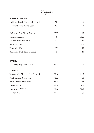**Liquor**

### NEW WORLD WHISKY

| Hellyers Road Pinot Noir Finish   | <b>TAS</b> | 16   |
|-----------------------------------|------------|------|
| Starward Nova Wine Cask           | <b>VIC</b> | 12   |
| Hakushu Distiller's Reserve       | <b>JPN</b> | 15   |
| Hibiki Harmony                    | <b>JPN</b> | 18.5 |
| Ichiros Malt & Grain              | <b>JPN</b> | 20   |
| Suntory Toki                      | <b>JPN</b> | 10.5 |
| Yamazaki 12yr                     | <b>JPN</b> | 45   |
| Yamazaki Distiller's Reserve      | <b>JPN</b> | 20   |
| <b>BRANDY</b>                     |            |      |
| St. Remy Napolean VSOP            | <b>FRA</b> | 10   |
| <b>CONGNAC</b>                    |            |      |
| Normandin-Mercier 'La Peraudiere' | <b>FRA</b> | 37.5 |
| Paul Giraud Napolean              | <b>FRA</b> | 18   |
| Paul Giraud Tres Rare             | <b>FRA</b> | 65   |
| Dusse VSOP                        | <b>FRA</b> | 14.5 |
| <b>Hennessey VSOP</b>             | <b>FRA</b> | 12.5 |
| Martell VS                        | <b>FRA</b> | 11.5 |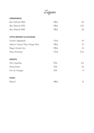**Liquor**

# ARMANGNAC

| Bas Delord 1962                    | <b>FRA</b> | 65   |
|------------------------------------|------------|------|
| Bas Delord 1972                    | <b>FRA</b> | 37.5 |
| Bas Delord 1985                    | <b>FRA</b> | 20   |
|                                    |            |      |
| <b>APPLE BRANDY &amp; CALVADOS</b> |            |      |
| Laird's Applejack                  | <b>USA</b> | 10   |
| Adrien Camut Pays Dauge 18yr       | FRA        | 31   |
| Roger Groult 3yr                   | <b>FRA</b> | 14   |
| Dom Frontais                       | <b>USA</b> | 12.5 |
| <b>GRAPPA</b>                      |            |      |
| Dei Castellia                      | <b>ITA</b> | 8.5  |
| Stravecchia                        | <b>ITA</b> | 10   |
| Ori de Grappa                      | <b>ITA</b> | 8    |
| <b>PISCO</b>                       |            |      |
| Barsol                             | <b>BRA</b> | 11   |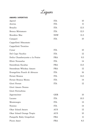**Liquor**

# AMARO / APERITIVO

| Aperol                          | <b>ITA</b> | 10   |
|---------------------------------|------------|------|
| Averna                          | <b>ITA</b> | 11   |
| <b>Braulio</b>                  | <b>ITA</b> | 12.5 |
| Bresca Mirtamaro                | <b>ITA</b> | 12.5 |
| <b>Brookies Mac</b>             | <b>NSW</b> | 11.5 |
| Campari                         | <b>ITA</b> | 10   |
| Cappelletti Sfmumato            |            |      |
| Cappelletti Trentino            |            |      |
| Cynar                           | <b>ITA</b> | 10   |
| Del Capo Vecchio                | <b>ITA</b> | 12   |
| Dolin Chamberyzette a la Fraise | <b>FRA</b> | 9.5  |
| Elisir Novasalus                | <b>ITA</b> | 14   |
| Sweetdram Escubac               | <b>FRA</b> | 13.5 |
| Sweetdram Whiskey Amaro         | <b>FRA</b> | 12   |
| Evangelista Punch di Abruzzo    | <b>ITA</b> | 16   |
| Fernet Branca                   | <b>ITA</b> | 14.5 |
| Fernet Branca Menta             | <b>ITA</b> | 14   |
| Giori Fernet                    | <b>ITA</b> | 12   |
| Giori Amaro Nonno               |            |      |
| Giori Ferrochina                |            |      |
| Jagermeister                    | <b>GER</b> | 10   |
| Lucano                          | <b>ITA</b> | 10.5 |
| Montenegro                      | <b>ITA</b> | 13   |
| Nonino                          | <b>ITA</b> | 14   |
| Okar Island Amaro               | <b>AUS</b> | 12   |
| Okar Island Orange Tropic       | <b>AUS</b> | 10   |
| Pampelle Ruby Grapefruit        | <b>FRA</b> | 11   |
| Picon Amer                      | <b>FRA</b> | 8.5  |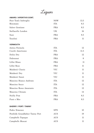**Liquor**

# AMARO / APERITIVO CONT.

| Poor Tom's Imbroglio            | <b>NSW</b> | 13.5  |
|---------------------------------|------------|-------|
| Rinomato                        | <b>ITA</b> | 8.5   |
| Salers Gentiane                 | <b>FRA</b> | 8.5   |
| Stellacello London              | UK         | 16    |
| Suze                            | <b>FRA</b> | 8.5   |
| Tosolini                        | <b>FRA</b> | 11    |
| <b>VERMOUTH</b>                 |            |       |
| Antica Formula                  | <b>ITA</b> | 12    |
| Cocchi Americano                | <b>ITA</b> | 11.5  |
| Dolin Dry                       | <b>FRA</b> | 12    |
| Dubonnet                        | <b>FRA</b> | $8\,$ |
| Lillet Blanc                    | <b>FRA</b> | 11    |
| Lillet Rose                     | <b>FRA</b> | 11    |
| Maidenii Classic                | <b>VIC</b> | 11    |
| Maidenii Dry                    | <b>VIC</b> | 11    |
| Maidenii Sweet                  | <b>VIC</b> | 11    |
| Mancino Bianco Ambrato          | <b>ITA</b> | 12    |
| Mancino Secco                   | <b>ITA</b> | 12    |
| Mancino Rosso Amaranto          | <b>ITA</b> | 12    |
| Mancino Chinato                 | <b>ITA</b> | 14    |
| Noilly Prat                     | <b>FRA</b> | 8.5   |
| Punt e Mes                      | <b>FRA</b> | 8.5   |
| <b>SHERRY / PORT / TAWNY</b>    |            |       |
| Pedro Ximenez                   | <b>SPN</b> | 10    |
| Penfolds Grandfather Tawny Port | <b>AUS</b> | 19    |
| Campbells Topaque               | <b>AUS</b> | 11    |
| Campbells Muscat                | <b>AUS</b> | 11    |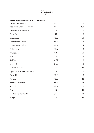**Liquor**

# ABSINTHE / PASTIS / SELECT LIQUEURS

| Unico Limoncello        | <b>SA</b>  | 10   |
|-------------------------|------------|------|
| Absinthe Grande Absente | <b>FRA</b> | 18.5 |
| Disaronno Amaretto      | <b>ITA</b> | 10   |
| Bailey's                | <b>IRE</b> | 10   |
| Chambord                | <b>FRA</b> | 10   |
| Chartreuse Green        | <b>FRA</b> | 16   |
| Chartreuse Yellow       | <b>FRA</b> | 14   |
| Cointreau               | <b>FRA</b> | 10   |
| Frangelico              | <b>ITA</b> | 10   |
| Italicus                | <b>ITA</b> | 12.5 |
| Kahlua                  | <b>MEX</b> | 10   |
| Licor 43                | <b>SPA</b> | 10   |
| Midori Melon            | <b>JPN</b> | 11   |
| Opal Nera Black Sambuca | <b>ITA</b> | 10   |
| Ouzo 12                 | GRC        | 10   |
| Pernod                  | <b>FRA</b> | 11   |
| Pernod Absinthe         | <b>FRA</b> | 15   |
| Ricard                  | <b>FRA</b> | 10   |
| Pimms                   | UK         | 11   |
| Stellacella Pompelmo    | UK         | 13   |
| Strega                  | <b>ITA</b> | 11   |